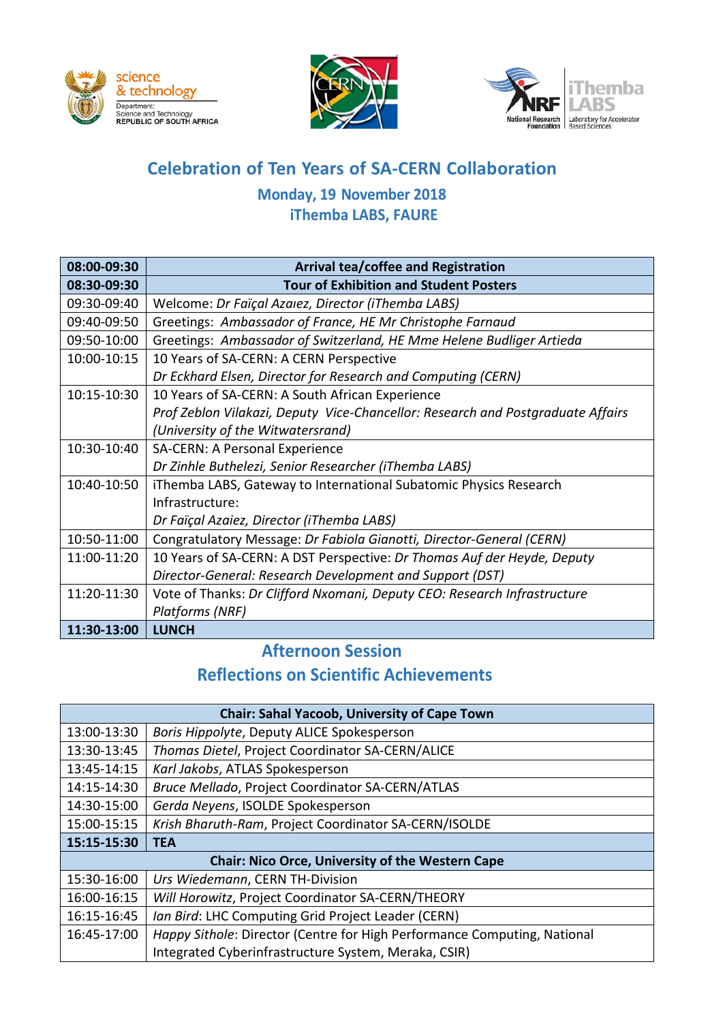





# **Celebration of Ten Years of SA-CERN Collaboration**

### **Monday, 19 November 2018 iThemba LABS, FAURE**

| 08:00-09:30 | <b>Arrival tea/coffee and Registration</b>                                      |
|-------------|---------------------------------------------------------------------------------|
| 08:30-09:30 | <b>Tour of Exhibition and Student Posters</b>                                   |
| 09:30-09:40 | Welcome: Dr Faïçal Azaıez, Director (iThemba LABS)                              |
| 09:40-09:50 | Greetings: Ambassador of France, HE Mr Christophe Farnaud                       |
| 09:50-10:00 | Greetings: Ambassador of Switzerland, HE Mme Helene Budliger Artieda            |
| 10:00-10:15 | 10 Years of SA-CERN: A CERN Perspective                                         |
|             | Dr Eckhard Elsen, Director for Research and Computing (CERN)                    |
| 10:15-10:30 | 10 Years of SA-CERN: A South African Experience                                 |
|             | Prof Zeblon Vilakazi, Deputy Vice-Chancellor: Research and Postgraduate Affairs |
|             | (University of the Witwatersrand)                                               |
| 10:30-10:40 | SA-CERN: A Personal Experience                                                  |
|             | Dr Zinhle Buthelezi, Senior Researcher (iThemba LABS)                           |
| 10:40-10:50 | iThemba LABS, Gateway to International Subatomic Physics Research               |
|             | Infrastructure:                                                                 |
|             | Dr Faïçal Azaiez, Director (iThemba LABS)                                       |
| 10:50-11:00 | Congratulatory Message: Dr Fabiola Gianotti, Director-General (CERN)            |
| 11:00-11:20 | 10 Years of SA-CERN: A DST Perspective: Dr Thomas Auf der Heyde, Deputy         |
|             | Director-General: Research Development and Support (DST)                        |
| 11:20-11:30 | Vote of Thanks: Dr Clifford Nxomani, Deputy CEO: Research Infrastructure        |
|             | Platforms (NRF)                                                                 |
| 11:30-13:00 | <b>LUNCH</b>                                                                    |

## **Afternoon Session Reflections on Scientific Achievements**

| <b>Chair: Sahal Yacoob, University of Cape Town</b>     |                                                                          |  |
|---------------------------------------------------------|--------------------------------------------------------------------------|--|
| 13:00-13:30                                             | Boris Hippolyte, Deputy ALICE Spokesperson                               |  |
| 13:30-13:45                                             | Thomas Dietel, Project Coordinator SA-CERN/ALICE                         |  |
| 13:45-14:15                                             | Karl Jakobs, ATLAS Spokesperson                                          |  |
| 14:15-14:30                                             | Bruce Mellado, Project Coordinator SA-CERN/ATLAS                         |  |
| 14:30-15:00                                             | Gerda Neyens, ISOLDE Spokesperson                                        |  |
| 15:00-15:15                                             | Krish Bharuth-Ram, Project Coordinator SA-CERN/ISOLDE                    |  |
| 15:15-15:30                                             | <b>TEA</b>                                                               |  |
| <b>Chair: Nico Orce, University of the Western Cape</b> |                                                                          |  |
| 15:30-16:00                                             | Urs Wiedemann, CERN TH-Division                                          |  |
| 16:00-16:15                                             | Will Horowitz, Project Coordinator SA-CERN/THEORY                        |  |
| 16:15-16:45                                             | Ian Bird: LHC Computing Grid Project Leader (CERN)                       |  |
| 16:45-17:00                                             | Happy Sithole: Director (Centre for High Performance Computing, National |  |
|                                                         | Integrated Cyberinfrastructure System, Meraka, CSIR)                     |  |